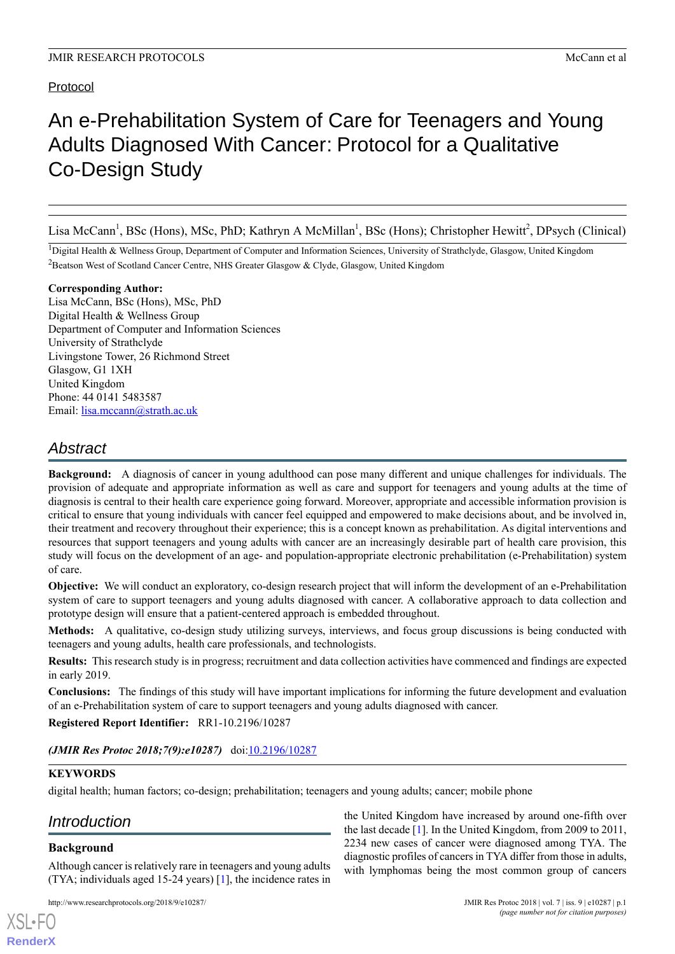# Protocol

# An e-Prehabilitation System of Care for Teenagers and Young Adults Diagnosed With Cancer: Protocol for a Qualitative Co-Design Study

Lisa McCann<sup>1</sup>, BSc (Hons), MSc, PhD; Kathryn A McMillan<sup>1</sup>, BSc (Hons); Christopher Hewitt<sup>2</sup>, DPsych (Clinical)

<sup>1</sup>Digital Health & Wellness Group, Department of Computer and Information Sciences, University of Strathclyde, Glasgow, United Kingdom <sup>2</sup>Beatson West of Scotland Cancer Centre, NHS Greater Glasgow & Clyde, Glasgow, United Kingdom

#### **Corresponding Author:**

Lisa McCann, BSc (Hons), MSc, PhD Digital Health & Wellness Group Department of Computer and Information Sciences University of Strathclyde Livingstone Tower, 26 Richmond Street Glasgow, G1 1XH United Kingdom Phone: 44 0141 5483587 Email: [lisa.mccann@strath.ac.uk](mailto:lisa.mccann@strath.ac.uk)

# *Abstract*

**Background:** A diagnosis of cancer in young adulthood can pose many different and unique challenges for individuals. The provision of adequate and appropriate information as well as care and support for teenagers and young adults at the time of diagnosis is central to their health care experience going forward. Moreover, appropriate and accessible information provision is critical to ensure that young individuals with cancer feel equipped and empowered to make decisions about, and be involved in, their treatment and recovery throughout their experience; this is a concept known as prehabilitation. As digital interventions and resources that support teenagers and young adults with cancer are an increasingly desirable part of health care provision, this study will focus on the development of an age- and population-appropriate electronic prehabilitation (e-Prehabilitation) system of care.

**Objective:** We will conduct an exploratory, co-design research project that will inform the development of an e-Prehabilitation system of care to support teenagers and young adults diagnosed with cancer. A collaborative approach to data collection and prototype design will ensure that a patient-centered approach is embedded throughout.

**Methods:** A qualitative, co-design study utilizing surveys, interviews, and focus group discussions is being conducted with teenagers and young adults, health care professionals, and technologists.

**Results:** This research study is in progress; recruitment and data collection activities have commenced and findings are expected in early 2019.

**Conclusions:** The findings of this study will have important implications for informing the future development and evaluation of an e-Prehabilitation system of care to support teenagers and young adults diagnosed with cancer.

**Registered Report Identifier:** RR1-10.2196/10287

*(JMIR Res Protoc 2018;7(9):e10287)* doi[:10.2196/10287](http://dx.doi.org/10.2196/10287)

# **KEYWORDS**

digital health; human factors; co-design; prehabilitation; teenagers and young adults; cancer; mobile phone

# *Introduction*

# **Background**

[XSL](http://www.w3.org/Style/XSL)•FO **[RenderX](http://www.renderx.com/)**

Although cancer is relatively rare in teenagers and young adults (TYA; individuals aged 15-24 years) [\[1](#page-6-0)], the incidence rates in

http://www.researchprotocols.org/2018/9/e10287/ JMIR Res Protoc 2018 | vol. 7 | iss. 9 | e10287 | p.1

the United Kingdom have increased by around one-fifth over the last decade [\[1](#page-6-0)]. In the United Kingdom, from 2009 to 2011, 2234 new cases of cancer were diagnosed among TYA. The diagnostic profiles of cancers in TYA differ from those in adults, with lymphomas being the most common group of cancers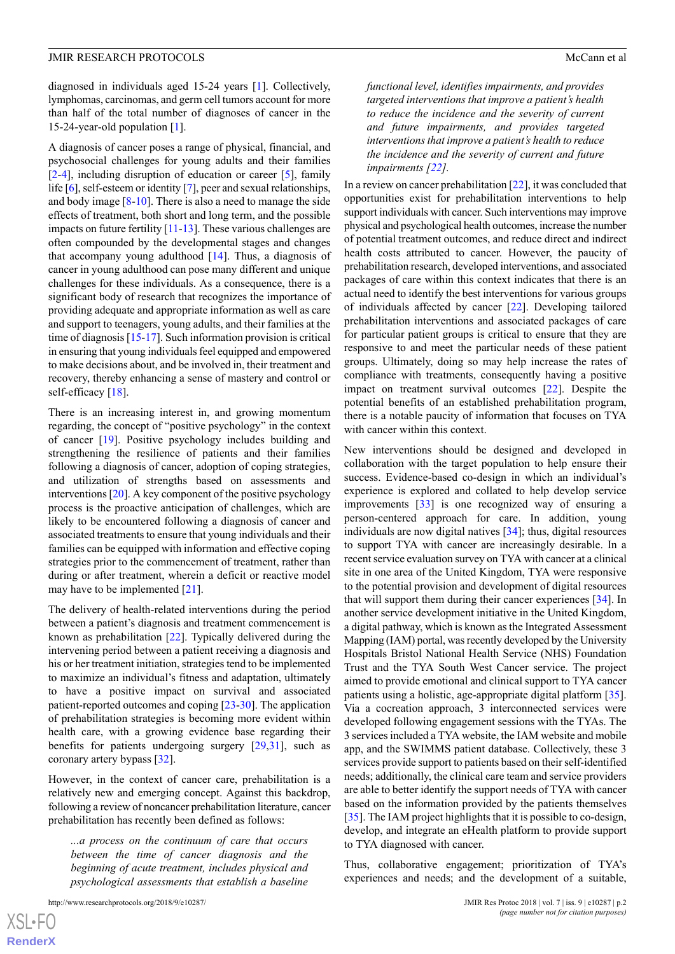diagnosed in individuals aged 15-24 years [\[1](#page-6-0)]. Collectively, lymphomas, carcinomas, and germ cell tumors account for more than half of the total number of diagnoses of cancer in the 15-24-year-old population [[1](#page-6-0)].

A diagnosis of cancer poses a range of physical, financial, and psychosocial challenges for young adults and their families [[2](#page-6-1)[-4](#page-6-2)], including disruption of education or career [\[5](#page-6-3)], family life [[6\]](#page-6-4), self-esteem or identity [[7\]](#page-6-5), peer and sexual relationships, and body image [\[8](#page-7-0)-[10\]](#page-7-1). There is also a need to manage the side effects of treatment, both short and long term, and the possible impacts on future fertility [\[11-](#page-7-2)[13\]](#page-7-3). These various challenges are often compounded by the developmental stages and changes that accompany young adulthood [\[14](#page-7-4)]. Thus, a diagnosis of cancer in young adulthood can pose many different and unique challenges for these individuals. As a consequence, there is a significant body of research that recognizes the importance of providing adequate and appropriate information as well as care and support to teenagers, young adults, and their families at the time of diagnosis [[15](#page-7-5)[-17](#page-7-6)]. Such information provision is critical in ensuring that young individuals feel equipped and empowered to make decisions about, and be involved in, their treatment and recovery, thereby enhancing a sense of mastery and control or self-efficacy [\[18](#page-7-7)].

There is an increasing interest in, and growing momentum regarding, the concept of "positive psychology" in the context of cancer [[19\]](#page-7-8). Positive psychology includes building and strengthening the resilience of patients and their families following a diagnosis of cancer, adoption of coping strategies, and utilization of strengths based on assessments and interventions [\[20](#page-7-9)]. A key component of the positive psychology process is the proactive anticipation of challenges, which are likely to be encountered following a diagnosis of cancer and associated treatments to ensure that young individuals and their families can be equipped with information and effective coping strategies prior to the commencement of treatment, rather than during or after treatment, wherein a deficit or reactive model may have to be implemented [[21\]](#page-7-10).

The delivery of health-related interventions during the period between a patient's diagnosis and treatment commencement is known as prehabilitation [[22\]](#page-7-11). Typically delivered during the intervening period between a patient receiving a diagnosis and his or her treatment initiation, strategies tend to be implemented to maximize an individual's fitness and adaptation, ultimately to have a positive impact on survival and associated patient-reported outcomes and coping [\[23](#page-7-12)-[30\]](#page-7-13). The application of prehabilitation strategies is becoming more evident within health care, with a growing evidence base regarding their benefits for patients undergoing surgery [[29](#page-7-14)[,31](#page-7-15)], such as coronary artery bypass [\[32](#page-8-0)].

However, in the context of cancer care, prehabilitation is a relatively new and emerging concept. Against this backdrop, following a review of noncancer prehabilitation literature, cancer prehabilitation has recently been defined as follows:

*...a process on the continuum of care that occurs between the time of cancer diagnosis and the beginning of acute treatment, includes physical and psychological assessments that establish a baseline*

*functional level, identifies impairments, and provides targeted interventions that improve a patient's health to reduce the incidence and the severity of current and future impairments, and provides targeted interventions that improve a patient's health to reduce the incidence and the severity of current and future impairments [[22\]](#page-7-11).*

In a review on cancer prehabilitation [\[22](#page-7-11)], it was concluded that opportunities exist for prehabilitation interventions to help support individuals with cancer. Such interventions may improve physical and psychological health outcomes, increase the number of potential treatment outcomes, and reduce direct and indirect health costs attributed to cancer. However, the paucity of prehabilitation research, developed interventions, and associated packages of care within this context indicates that there is an actual need to identify the best interventions for various groups of individuals affected by cancer [[22\]](#page-7-11). Developing tailored prehabilitation interventions and associated packages of care for particular patient groups is critical to ensure that they are responsive to and meet the particular needs of these patient groups. Ultimately, doing so may help increase the rates of compliance with treatments, consequently having a positive impact on treatment survival outcomes [\[22](#page-7-11)]. Despite the potential benefits of an established prehabilitation program, there is a notable paucity of information that focuses on TYA with cancer within this context.

New interventions should be designed and developed in collaboration with the target population to help ensure their success. Evidence-based co-design in which an individual's experience is explored and collated to help develop service improvements [[33\]](#page-8-1) is one recognized way of ensuring a person-centered approach for care. In addition, young individuals are now digital natives [[34\]](#page-8-2); thus, digital resources to support TYA with cancer are increasingly desirable. In a recent service evaluation survey on TYA with cancer at a clinical site in one area of the United Kingdom, TYA were responsive to the potential provision and development of digital resources that will support them during their cancer experiences [[34\]](#page-8-2). In another service development initiative in the United Kingdom, a digital pathway, which is known as the Integrated Assessment Mapping (IAM) portal, was recently developed by the University Hospitals Bristol National Health Service (NHS) Foundation Trust and the TYA South West Cancer service. The project aimed to provide emotional and clinical support to TYA cancer patients using a holistic, age-appropriate digital platform [[35\]](#page-8-3). Via a cocreation approach, 3 interconnected services were developed following engagement sessions with the TYAs. The 3 services included a TYA website, the IAM website and mobile app, and the SWIMMS patient database. Collectively, these 3 services provide support to patients based on their self-identified needs; additionally, the clinical care team and service providers are able to better identify the support needs of TYA with cancer based on the information provided by the patients themselves [[35\]](#page-8-3). The IAM project highlights that it is possible to co-design, develop, and integrate an eHealth platform to provide support to TYA diagnosed with cancer.

Thus, collaborative engagement; prioritization of TYA's experiences and needs; and the development of a suitable,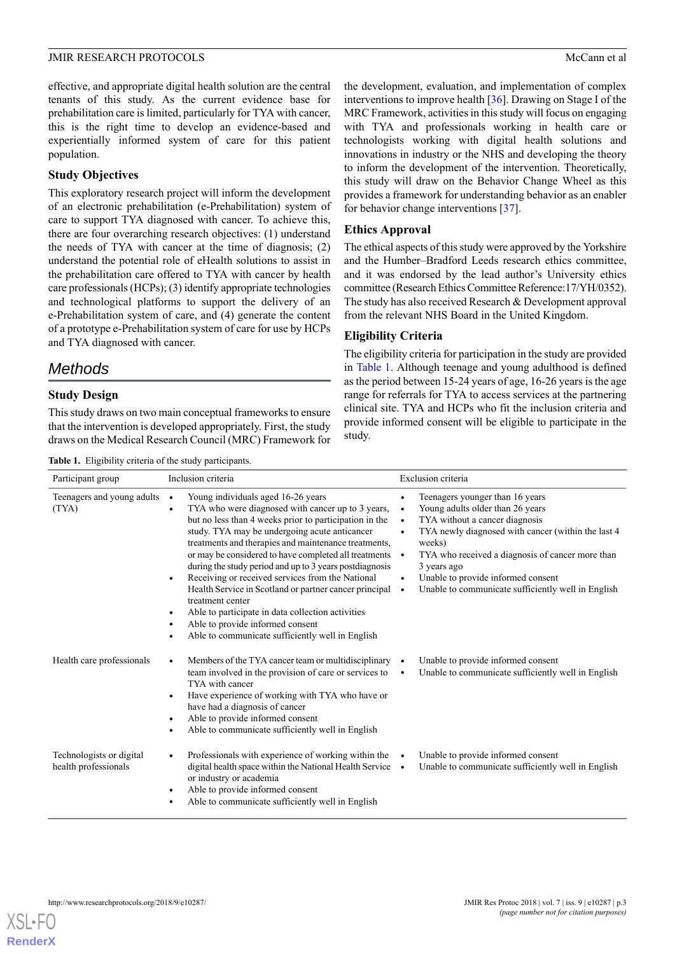effective, and appropriate digital health solution are the central tenants of this study. As the current evidence base for prehabilitation care is limited, particularly for TYA with cancer, this is the right time to develop an evidence-based and experientially informed system of care for this patient population.

# **Study Objectives**

This exploratory research project will inform the development of an electronic prehabilitation (e-Prehabilitation) system of care to support TYA diagnosed with cancer. To achieve this, there are four overarching research objectives: (1) understand the needs of TYA with cancer at the time of diagnosis; (2) understand the potential role of eHealth solutions to assist in the prehabilitation care offered to TYA with cancer by health care professionals (HCPs); (3) identify appropriate technologies and technological platforms to support the delivery of an e-Prehabilitation system of care, and (4) generate the content of a prototype e-Prehabilitation system of care for use by HCPs and TYA diagnosed with cancer.

# *Methods*

# **Study Design**

<span id="page-2-0"></span>This study draws on two main conceptual frameworks to ensure that the intervention is developed appropriately. First, the study draws on the Medical Research Council (MRC) Framework for

**Table 1.** Eligibility criteria of the study participants.

the development, evaluation, and implementation of complex interventions to improve health [\[36](#page-8-4)]. Drawing on Stage I of the MRC Framework, activities in this study will focus on engaging with TYA and professionals working in health care or technologists working with digital health solutions and innovations in industry or the NHS and developing the theory to inform the development of the intervention. Theoretically, this study will draw on the Behavior Change Wheel as this provides a framework for understanding behavior as an enabler for behavior change interventions [\[37](#page-8-5)].

# **Ethics Approval**

The ethical aspects of this study were approved by the Yorkshire and the Humber–Bradford Leeds research ethics committee, and it was endorsed by the lead author's University ethics committee (Research Ethics Committee Reference:17/YH/0352). The study has also received Research & Development approval from the relevant NHS Board in the United Kingdom.

# **Eligibility Criteria**

The eligibility criteria for participation in the study are provided in [Table 1.](#page-2-0) Although teenage and young adulthood is defined as the period between 15-24 years of age, 16-26 years is the age range for referrals for TYA to access services at the partnering clinical site. TYA and HCPs who fit the inclusion criteria and provide informed consent will be eligible to participate in the study.

| Participant group                                | Inclusion criteria                                                                                                                                                                                                                                                                                                                                                                                                                                                                                                                                                                                                                                                                        | Exclusion criteria                                                                                                                                                                                                                                                                                                                                                          |
|--------------------------------------------------|-------------------------------------------------------------------------------------------------------------------------------------------------------------------------------------------------------------------------------------------------------------------------------------------------------------------------------------------------------------------------------------------------------------------------------------------------------------------------------------------------------------------------------------------------------------------------------------------------------------------------------------------------------------------------------------------|-----------------------------------------------------------------------------------------------------------------------------------------------------------------------------------------------------------------------------------------------------------------------------------------------------------------------------------------------------------------------------|
| Teenagers and young adults<br>(TYA)              | Young individuals aged 16-26 years<br>TYA who were diagnosed with cancer up to 3 years,<br>$\bullet$<br>but no less than 4 weeks prior to participation in the<br>study. TYA may be undergoing acute anticancer<br>treatments and therapies and maintenance treatments,<br>or may be considered to have completed all treatments •<br>during the study period and up to 3 years postdiagnosis<br>Receiving or received services from the National<br>$\bullet$<br>Health Service in Scotland or partner cancer principal<br>treatment center<br>Able to participate in data collection activities<br>Able to provide informed consent<br>Able to communicate sufficiently well in English | Teenagers younger than 16 years<br>Young adults older than 26 years<br>$\bullet$<br>TYA without a cancer diagnosis<br>$\bullet$<br>TYA newly diagnosed with cancer (within the last 4<br>$\bullet$<br>weeks)<br>TYA who received a diagnosis of cancer more than<br>3 years ago<br>Unable to provide informed consent<br>Unable to communicate sufficiently well in English |
| Health care professionals                        | Members of the TYA cancer team or multidisciplinary •<br>team involved in the provision of care or services to<br>TYA with cancer<br>Have experience of working with TYA who have or<br>٠<br>have had a diagnosis of cancer<br>Able to provide informed consent<br>Able to communicate sufficiently well in English                                                                                                                                                                                                                                                                                                                                                                       | Unable to provide informed consent<br>Unable to communicate sufficiently well in English                                                                                                                                                                                                                                                                                    |
| Technologists or digital<br>health professionals | Professionals with experience of working within the<br>digital health space within the National Health Service .<br>or industry or academia<br>Able to provide informed consent<br>Able to communicate sufficiently well in English                                                                                                                                                                                                                                                                                                                                                                                                                                                       | Unable to provide informed consent<br>Unable to communicate sufficiently well in English                                                                                                                                                                                                                                                                                    |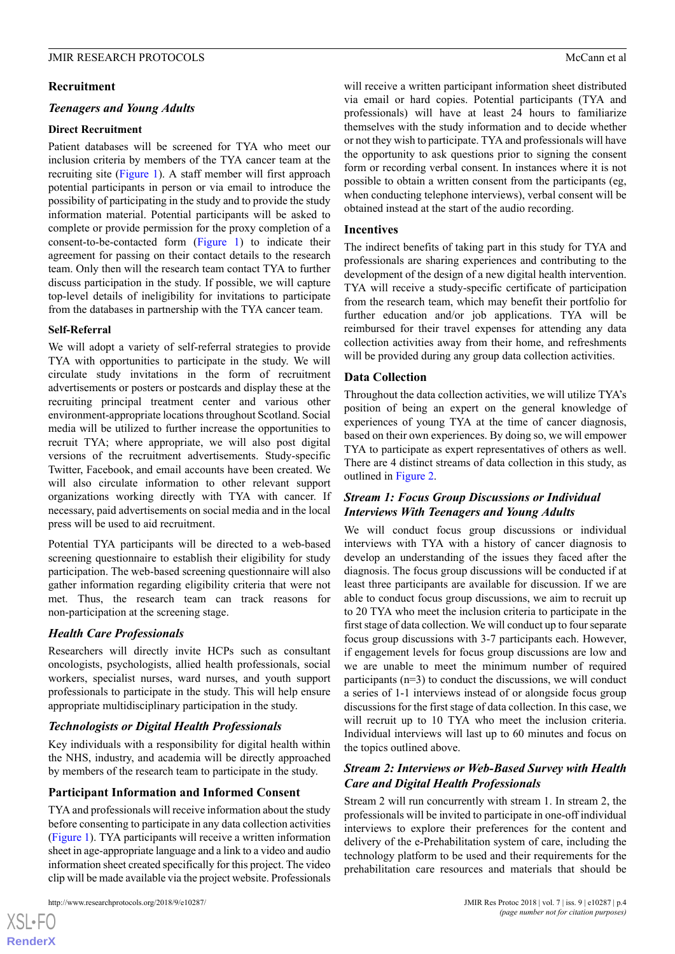#### **Recruitment**

#### *Teenagers and Young Adults*

#### **Direct Recruitment**

Patient databases will be screened for TYA who meet our inclusion criteria by members of the TYA cancer team at the recruiting site [\(Figure 1\)](#page-4-0). A staff member will first approach potential participants in person or via email to introduce the possibility of participating in the study and to provide the study information material. Potential participants will be asked to complete or provide permission for the proxy completion of a consent-to-be-contacted form [\(Figure 1\)](#page-4-0) to indicate their agreement for passing on their contact details to the research team. Only then will the research team contact TYA to further discuss participation in the study. If possible, we will capture top-level details of ineligibility for invitations to participate from the databases in partnership with the TYA cancer team.

#### **Self-Referral**

We will adopt a variety of self-referral strategies to provide TYA with opportunities to participate in the study. We will circulate study invitations in the form of recruitment advertisements or posters or postcards and display these at the recruiting principal treatment center and various other environment-appropriate locations throughout Scotland. Social media will be utilized to further increase the opportunities to recruit TYA; where appropriate, we will also post digital versions of the recruitment advertisements. Study-specific Twitter, Facebook, and email accounts have been created. We will also circulate information to other relevant support organizations working directly with TYA with cancer. If necessary, paid advertisements on social media and in the local press will be used to aid recruitment.

Potential TYA participants will be directed to a web-based screening questionnaire to establish their eligibility for study participation. The web-based screening questionnaire will also gather information regarding eligibility criteria that were not met. Thus, the research team can track reasons for non-participation at the screening stage.

#### *Health Care Professionals*

Researchers will directly invite HCPs such as consultant oncologists, psychologists, allied health professionals, social workers, specialist nurses, ward nurses, and youth support professionals to participate in the study. This will help ensure appropriate multidisciplinary participation in the study.

# *Technologists or Digital Health Professionals*

Key individuals with a responsibility for digital health within the NHS, industry, and academia will be directly approached by members of the research team to participate in the study.

#### **Participant Information and Informed Consent**

TYA and professionals will receive information about the study before consenting to participate in any data collection activities ([Figure 1](#page-4-0)). TYA participants will receive a written information sheet in age-appropriate language and a link to a video and audio information sheet created specifically for this project. The video clip will be made available via the project website. Professionals

[XSL](http://www.w3.org/Style/XSL)•FO **[RenderX](http://www.renderx.com/)** will receive a written participant information sheet distributed via email or hard copies. Potential participants (TYA and professionals) will have at least 24 hours to familiarize themselves with the study information and to decide whether or not they wish to participate. TYA and professionals will have the opportunity to ask questions prior to signing the consent form or recording verbal consent. In instances where it is not possible to obtain a written consent from the participants (eg, when conducting telephone interviews), verbal consent will be obtained instead at the start of the audio recording.

#### **Incentives**

The indirect benefits of taking part in this study for TYA and professionals are sharing experiences and contributing to the development of the design of a new digital health intervention. TYA will receive a study-specific certificate of participation from the research team, which may benefit their portfolio for further education and/or job applications. TYA will be reimbursed for their travel expenses for attending any data collection activities away from their home, and refreshments will be provided during any group data collection activities.

#### **Data Collection**

Throughout the data collection activities, we will utilize TYA's position of being an expert on the general knowledge of experiences of young TYA at the time of cancer diagnosis, based on their own experiences. By doing so, we will empower TYA to participate as expert representatives of others as well. There are 4 distinct streams of data collection in this study, as outlined in [Figure 2.](#page-4-1)

# *Stream 1: Focus Group Discussions or Individual Interviews With Teenagers and Young Adults*

We will conduct focus group discussions or individual interviews with TYA with a history of cancer diagnosis to develop an understanding of the issues they faced after the diagnosis. The focus group discussions will be conducted if at least three participants are available for discussion. If we are able to conduct focus group discussions, we aim to recruit up to 20 TYA who meet the inclusion criteria to participate in the first stage of data collection. We will conduct up to four separate focus group discussions with 3-7 participants each. However, if engagement levels for focus group discussions are low and we are unable to meet the minimum number of required participants (n=3) to conduct the discussions, we will conduct a series of 1-1 interviews instead of or alongside focus group discussions for the first stage of data collection. In this case, we will recruit up to 10 TYA who meet the inclusion criteria. Individual interviews will last up to 60 minutes and focus on the topics outlined above.

# *Stream 2: Interviews or Web-Based Survey with Health Care and Digital Health Professionals*

Stream 2 will run concurrently with stream 1. In stream 2, the professionals will be invited to participate in one-off individual interviews to explore their preferences for the content and delivery of the e-Prehabilitation system of care, including the technology platform to be used and their requirements for the prehabilitation care resources and materials that should be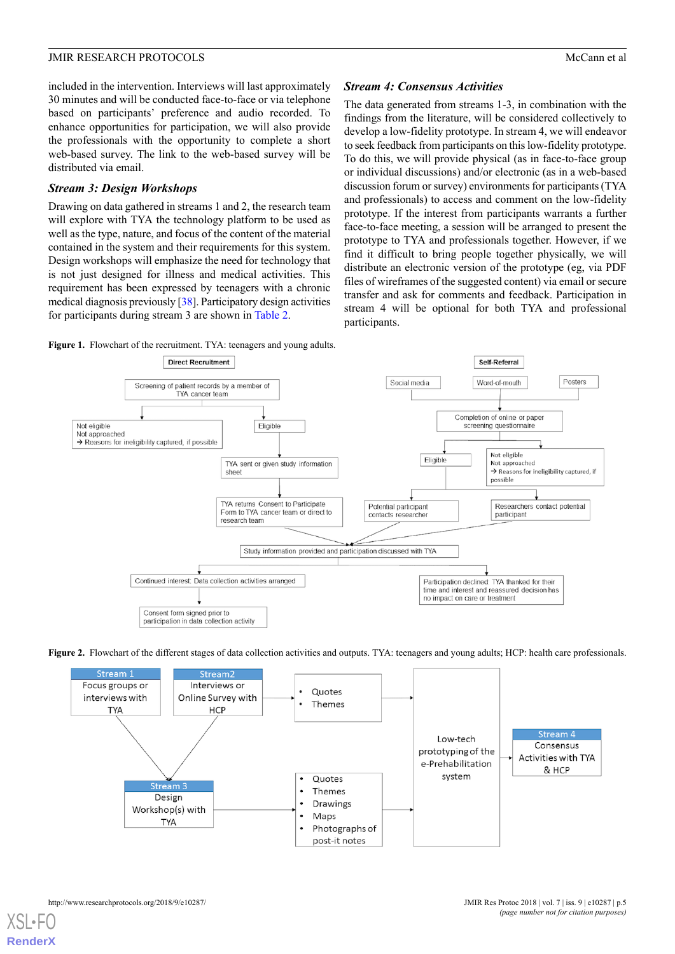included in the intervention. Interviews will last approximately 30 minutes and will be conducted face-to-face or via telephone based on participants' preference and audio recorded. To enhance opportunities for participation, we will also provide the professionals with the opportunity to complete a short web-based survey. The link to the web-based survey will be distributed via email.

# *Stream 3: Design Workshops*

Drawing on data gathered in streams 1 and 2, the research team will explore with TYA the technology platform to be used as well as the type, nature, and focus of the content of the material contained in the system and their requirements for this system. Design workshops will emphasize the need for technology that is not just designed for illness and medical activities. This requirement has been expressed by teenagers with a chronic medical diagnosis previously [\[38\]](#page-8-6). Participatory design activities for participants during stream 3 are shown in [Table 2](#page-5-0).

# *Stream 4: Consensus Activities*

The data generated from streams 1-3, in combination with the findings from the literature, will be considered collectively to develop a low-fidelity prototype. In stream 4, we will endeavor to seek feedback from participants on this low-fidelity prototype. To do this, we will provide physical (as in face-to-face group or individual discussions) and/or electronic (as in a web-based discussion forum or survey) environments for participants (TYA and professionals) to access and comment on the low-fidelity prototype. If the interest from participants warrants a further face-to-face meeting, a session will be arranged to present the prototype to TYA and professionals together. However, if we find it difficult to bring people together physically, we will distribute an electronic version of the prototype (eg, via PDF files of wireframes of the suggested content) via email or secure transfer and ask for comments and feedback. Participation in stream 4 will be optional for both TYA and professional participants.

<span id="page-4-0"></span>



<span id="page-4-1"></span>

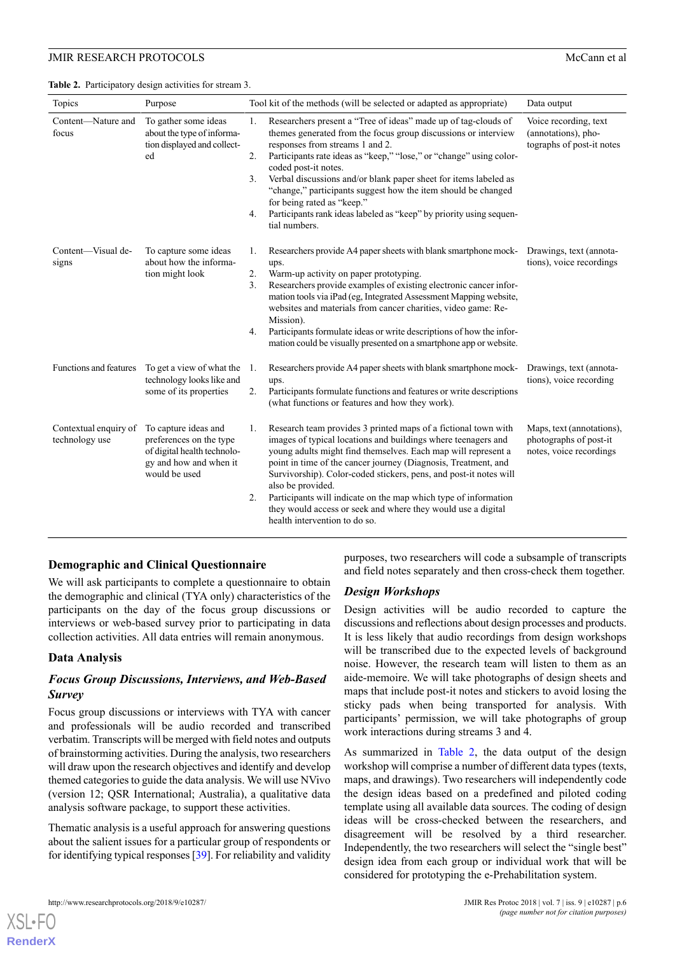<span id="page-5-0"></span>**Table 2.** Participatory design activities for stream 3.

| Topics                                  | Purpose                                                                                                                   | Tool kit of the methods (will be selected or adapted as appropriate)                                                                                                                                                                                                                                                                                                                                                                                                                                                                                  | Data output                                                                    |
|-----------------------------------------|---------------------------------------------------------------------------------------------------------------------------|-------------------------------------------------------------------------------------------------------------------------------------------------------------------------------------------------------------------------------------------------------------------------------------------------------------------------------------------------------------------------------------------------------------------------------------------------------------------------------------------------------------------------------------------------------|--------------------------------------------------------------------------------|
| Content-Nature and<br>focus             | To gather some ideas<br>about the type of informa-<br>tion displayed and collect-<br>ed                                   | Researchers present a "Tree of ideas" made up of tag-clouds of<br>1.<br>themes generated from the focus group discussions or interview<br>responses from streams 1 and 2.<br>2.<br>Participants rate ideas as "keep," "lose," or "change" using color-<br>coded post-it notes.<br>Verbal discussions and/or blank paper sheet for items labeled as<br>3.<br>"change," participants suggest how the item should be changed<br>for being rated as "keep."<br>Participants rank ideas labeled as "keep" by priority using sequen-<br>4.<br>tial numbers. | Voice recording, text<br>(annotations), pho-<br>tographs of post-it notes      |
| Content-Visual de-<br>signs             | To capture some ideas<br>about how the informa-<br>tion might look                                                        | Researchers provide A4 paper sheets with blank smartphone mock-<br>1.<br>ups.<br>2.<br>Warm-up activity on paper prototyping.<br>Researchers provide examples of existing electronic cancer infor-<br>3.<br>mation tools via iPad (eg, Integrated Assessment Mapping website,<br>websites and materials from cancer charities, video game: Re-<br>Mission).<br>Participants formulate ideas or write descriptions of how the infor-<br>4.<br>mation could be visually presented on a smartphone app or website.                                       | Drawings, text (annota-<br>tions), voice recordings                            |
| Functions and features                  | To get a view of what the<br>technology looks like and<br>some of its properties                                          | Researchers provide A4 paper sheets with blank smartphone mock-<br>-1.<br>ups.<br>Participants formulate functions and features or write descriptions<br>2.<br>(what functions or features and how they work).                                                                                                                                                                                                                                                                                                                                        | Drawings, text (annota-<br>tions), voice recording                             |
| Contextual enquiry of<br>technology use | To capture ideas and<br>preferences on the type<br>of digital health technolo-<br>gy and how and when it<br>would be used | Research team provides 3 printed maps of a fictional town with<br>1.<br>images of typical locations and buildings where teenagers and<br>young adults might find themselves. Each map will represent a<br>point in time of the cancer journey (Diagnosis, Treatment, and<br>Survivorship). Color-coded stickers, pens, and post-it notes will<br>also be provided.<br>Participants will indicate on the map which type of information<br>2.<br>they would access or seek and where they would use a digital<br>health intervention to do so.          | Maps, text (annotations),<br>photographs of post-it<br>notes, voice recordings |

#### **Demographic and Clinical Questionnaire**

We will ask participants to complete a questionnaire to obtain the demographic and clinical (TYA only) characteristics of the participants on the day of the focus group discussions or interviews or web-based survey prior to participating in data collection activities. All data entries will remain anonymous.

#### **Data Analysis**

#### *Focus Group Discussions, Interviews, and Web-Based Survey*

Focus group discussions or interviews with TYA with cancer and professionals will be audio recorded and transcribed verbatim. Transcripts will be merged with field notes and outputs of brainstorming activities. During the analysis, two researchers will draw upon the research objectives and identify and develop themed categories to guide the data analysis. We will use NVivo (version 12; QSR International; Australia), a qualitative data analysis software package, to support these activities.

Thematic analysis is a useful approach for answering questions about the salient issues for a particular group of respondents or for identifying typical responses [[39](#page-8-7)]. For reliability and validity purposes, two researchers will code a subsample of transcripts and field notes separately and then cross-check them together.

#### *Design Workshops*

Design activities will be audio recorded to capture the discussions and reflections about design processes and products. It is less likely that audio recordings from design workshops will be transcribed due to the expected levels of background noise. However, the research team will listen to them as an aide-memoire. We will take photographs of design sheets and maps that include post-it notes and stickers to avoid losing the sticky pads when being transported for analysis. With participants' permission, we will take photographs of group work interactions during streams 3 and 4.

As summarized in [Table 2,](#page-5-0) the data output of the design workshop will comprise a number of different data types (texts, maps, and drawings). Two researchers will independently code the design ideas based on a predefined and piloted coding template using all available data sources. The coding of design ideas will be cross-checked between the researchers, and disagreement will be resolved by a third researcher. Independently, the two researchers will select the "single best" design idea from each group or individual work that will be considered for prototyping the e-Prehabilitation system.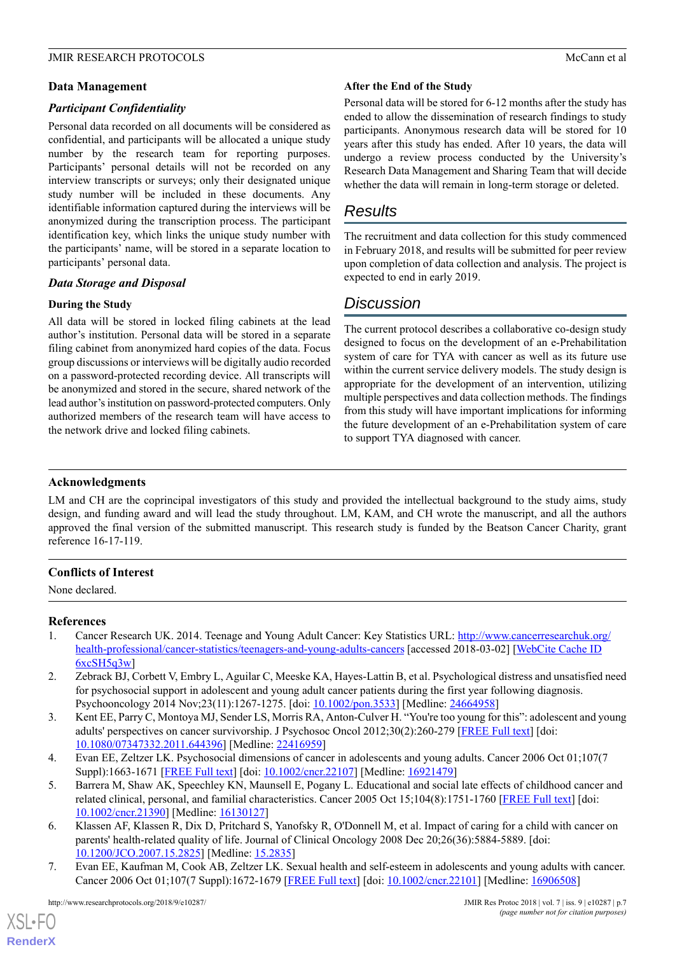# **Data Management**

# *Participant Confidentiality*

Personal data recorded on all documents will be considered as confidential, and participants will be allocated a unique study number by the research team for reporting purposes. Participants' personal details will not be recorded on any interview transcripts or surveys; only their designated unique study number will be included in these documents. Any identifiable information captured during the interviews will be anonymized during the transcription process. The participant identification key, which links the unique study number with the participants' name, will be stored in a separate location to participants' personal data.

# *Data Storage and Disposal*

# **During the Study**

All data will be stored in locked filing cabinets at the lead author's institution. Personal data will be stored in a separate filing cabinet from anonymized hard copies of the data. Focus group discussions or interviews will be digitally audio recorded on a password-protected recording device. All transcripts will be anonymized and stored in the secure, shared network of the lead author's institution on password-protected computers. Only authorized members of the research team will have access to the network drive and locked filing cabinets.

# **After the End of the Study**

Personal data will be stored for 6-12 months after the study has ended to allow the dissemination of research findings to study participants. Anonymous research data will be stored for 10 years after this study has ended. After 10 years, the data will undergo a review process conducted by the University's Research Data Management and Sharing Team that will decide whether the data will remain in long-term storage or deleted.

# *Results*

The recruitment and data collection for this study commenced in February 2018, and results will be submitted for peer review upon completion of data collection and analysis. The project is expected to end in early 2019.

# *Discussion*

The current protocol describes a collaborative co-design study designed to focus on the development of an e-Prehabilitation system of care for TYA with cancer as well as its future use within the current service delivery models. The study design is appropriate for the development of an intervention, utilizing multiple perspectives and data collection methods. The findings from this study will have important implications for informing the future development of an e-Prehabilitation system of care to support TYA diagnosed with cancer.

# **Acknowledgments**

LM and CH are the coprincipal investigators of this study and provided the intellectual background to the study aims, study design, and funding award and will lead the study throughout. LM, KAM, and CH wrote the manuscript, and all the authors approved the final version of the submitted manuscript. This research study is funded by the Beatson Cancer Charity, grant reference 16-17-119.

# <span id="page-6-0"></span>**Conflicts of Interest**

None declared.

#### <span id="page-6-1"></span>**References**

- 1. Cancer Research UK. 2014. Teenage and Young Adult Cancer: Key Statistics URL: [http://www.cancerresearchuk.org/](http://www.cancerresearchuk.org/health-professional/cancer-statistics/teenagers-and-young-adults-cancers) [health-professional/cancer-statistics/teenagers-and-young-adults-cancers](http://www.cancerresearchuk.org/health-professional/cancer-statistics/teenagers-and-young-adults-cancers) [accessed 2018-03-02] [[WebCite Cache ID](http://www.webcitation.org/6xcSH5q3w)  $6xcSH5q3w$
- <span id="page-6-2"></span>2. Zebrack BJ, Corbett V, Embry L, Aguilar C, Meeske KA, Hayes-Lattin B, et al. Psychological distress and unsatisfied need for psychosocial support in adolescent and young adult cancer patients during the first year following diagnosis. Psychooncology 2014 Nov;23(11):1267-1275. [doi: [10.1002/pon.3533](http://dx.doi.org/10.1002/pon.3533)] [Medline: [24664958\]](http://www.ncbi.nlm.nih.gov/entrez/query.fcgi?cmd=Retrieve&db=PubMed&list_uids=24664958&dopt=Abstract)
- <span id="page-6-3"></span>3. Kent EE, Parry C, Montoya MJ, Sender LS, Morris RA, Anton-Culver H. "You're too young for this": adolescent and young adults' perspectives on cancer survivorship. J Psychosoc Oncol 2012;30(2):260-279 [[FREE Full text](http://europepmc.org/abstract/MED/22416959)] [doi: [10.1080/07347332.2011.644396](http://dx.doi.org/10.1080/07347332.2011.644396)] [Medline: [22416959](http://www.ncbi.nlm.nih.gov/entrez/query.fcgi?cmd=Retrieve&db=PubMed&list_uids=22416959&dopt=Abstract)]
- <span id="page-6-4"></span>4. Evan EE, Zeltzer LK. Psychosocial dimensions of cancer in adolescents and young adults. Cancer 2006 Oct 01;107(7 Suppl):1663-1671 [\[FREE Full text\]](http://dx.doi.org/10.1002/cncr.22107) [doi: [10.1002/cncr.22107](http://dx.doi.org/10.1002/cncr.22107)] [Medline: [16921479\]](http://www.ncbi.nlm.nih.gov/entrez/query.fcgi?cmd=Retrieve&db=PubMed&list_uids=16921479&dopt=Abstract)
- <span id="page-6-5"></span>5. Barrera M, Shaw AK, Speechley KN, Maunsell E, Pogany L. Educational and social late effects of childhood cancer and related clinical, personal, and familial characteristics. Cancer 2005 Oct 15;104(8):1751-1760 [[FREE Full text](http://dx.doi.org/10.1002/cncr.21390)] [doi: [10.1002/cncr.21390\]](http://dx.doi.org/10.1002/cncr.21390) [Medline: [16130127\]](http://www.ncbi.nlm.nih.gov/entrez/query.fcgi?cmd=Retrieve&db=PubMed&list_uids=16130127&dopt=Abstract)
- 6. Klassen AF, Klassen R, Dix D, Pritchard S, Yanofsky R, O'Donnell M, et al. Impact of caring for a child with cancer on parents' health-related quality of life. Journal of Clinical Oncology 2008 Dec 20;26(36):5884-5889. [doi: [10.1200/JCO.2007.15.2825](http://dx.doi.org/10.1200/JCO.2007.15.2825)] [Medline: [15.2835](http://www.ncbi.nlm.nih.gov/entrez/query.fcgi?cmd=Retrieve&db=PubMed&list_uids=15.2835&dopt=Abstract)]
- 7. Evan EE, Kaufman M, Cook AB, Zeltzer LK. Sexual health and self-esteem in adolescents and young adults with cancer. Cancer 2006 Oct 01;107(7 Suppl):1672-1679 [[FREE Full text](http://dx.doi.org/10.1002/cncr.22101)] [doi: [10.1002/cncr.22101](http://dx.doi.org/10.1002/cncr.22101)] [Medline: [16906508\]](http://www.ncbi.nlm.nih.gov/entrez/query.fcgi?cmd=Retrieve&db=PubMed&list_uids=16906508&dopt=Abstract)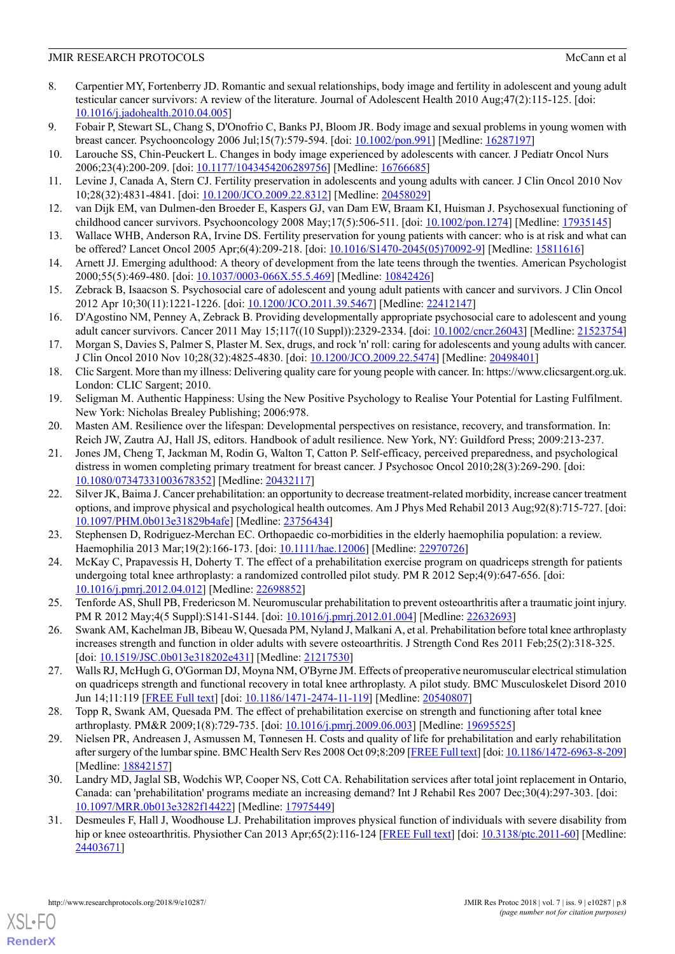- <span id="page-7-0"></span>8. Carpentier MY, Fortenberry JD. Romantic and sexual relationships, body image and fertility in adolescent and young adult testicular cancer survivors: A review of the literature. Journal of Adolescent Health 2010 Aug;47(2):115-125. [doi: [10.1016/j.jadohealth.2010.04.005](http://dx.doi.org/10.1016/j.jadohealth.2010.04.005)]
- <span id="page-7-1"></span>9. Fobair P, Stewart SL, Chang S, D'Onofrio C, Banks PJ, Bloom JR. Body image and sexual problems in young women with breast cancer. Psychooncology 2006 Jul;15(7):579-594. [doi: [10.1002/pon.991\]](http://dx.doi.org/10.1002/pon.991) [Medline: [16287197](http://www.ncbi.nlm.nih.gov/entrez/query.fcgi?cmd=Retrieve&db=PubMed&list_uids=16287197&dopt=Abstract)]
- <span id="page-7-2"></span>10. Larouche SS, Chin-Peuckert L. Changes in body image experienced by adolescents with cancer. J Pediatr Oncol Nurs 2006;23(4):200-209. [doi: [10.1177/1043454206289756](http://dx.doi.org/10.1177/1043454206289756)] [Medline: [16766685](http://www.ncbi.nlm.nih.gov/entrez/query.fcgi?cmd=Retrieve&db=PubMed&list_uids=16766685&dopt=Abstract)]
- 11. Levine J, Canada A, Stern CJ. Fertility preservation in adolescents and young adults with cancer. J Clin Oncol 2010 Nov 10;28(32):4831-4841. [doi: [10.1200/JCO.2009.22.8312\]](http://dx.doi.org/10.1200/JCO.2009.22.8312) [Medline: [20458029\]](http://www.ncbi.nlm.nih.gov/entrez/query.fcgi?cmd=Retrieve&db=PubMed&list_uids=20458029&dopt=Abstract)
- <span id="page-7-3"></span>12. van Dijk EM, van Dulmen-den Broeder E, Kaspers GJ, van Dam EW, Braam KI, Huisman J. Psychosexual functioning of childhood cancer survivors. Psychooncology 2008 May;17(5):506-511. [doi: [10.1002/pon.1274](http://dx.doi.org/10.1002/pon.1274)] [Medline: [17935145](http://www.ncbi.nlm.nih.gov/entrez/query.fcgi?cmd=Retrieve&db=PubMed&list_uids=17935145&dopt=Abstract)]
- <span id="page-7-4"></span>13. Wallace WHB, Anderson RA, Irvine DS. Fertility preservation for young patients with cancer: who is at risk and what can be offered? Lancet Oncol 2005 Apr;6(4):209-218. [doi: [10.1016/S1470-2045\(05\)70092-9\]](http://dx.doi.org/10.1016/S1470-2045(05)70092-9) [Medline: [15811616](http://www.ncbi.nlm.nih.gov/entrez/query.fcgi?cmd=Retrieve&db=PubMed&list_uids=15811616&dopt=Abstract)]
- <span id="page-7-5"></span>14. Arnett JJ. Emerging adulthood: A theory of development from the late teens through the twenties. American Psychologist 2000;55(5):469-480. [doi: [10.1037/0003-066X.55.5.469\]](http://dx.doi.org/10.1037/0003-066X.55.5.469) [Medline: [10842426\]](http://www.ncbi.nlm.nih.gov/entrez/query.fcgi?cmd=Retrieve&db=PubMed&list_uids=10842426&dopt=Abstract)
- 15. Zebrack B, Isaacson S. Psychosocial care of adolescent and young adult patients with cancer and survivors. J Clin Oncol 2012 Apr 10;30(11):1221-1226. [doi: [10.1200/JCO.2011.39.5467\]](http://dx.doi.org/10.1200/JCO.2011.39.5467) [Medline: [22412147](http://www.ncbi.nlm.nih.gov/entrez/query.fcgi?cmd=Retrieve&db=PubMed&list_uids=22412147&dopt=Abstract)]
- <span id="page-7-6"></span>16. D'Agostino NM, Penney A, Zebrack B. Providing developmentally appropriate psychosocial care to adolescent and young adult cancer survivors. Cancer 2011 May 15;117((10 Suppl)):2329-2334. [doi: [10.1002/cncr.26043\]](http://dx.doi.org/10.1002/cncr.26043) [Medline: [21523754](http://www.ncbi.nlm.nih.gov/entrez/query.fcgi?cmd=Retrieve&db=PubMed&list_uids=21523754&dopt=Abstract)]
- <span id="page-7-7"></span>17. Morgan S, Davies S, Palmer S, Plaster M. Sex, drugs, and rock 'n' roll: caring for adolescents and young adults with cancer. J Clin Oncol 2010 Nov 10;28(32):4825-4830. [doi: [10.1200/JCO.2009.22.5474](http://dx.doi.org/10.1200/JCO.2009.22.5474)] [Medline: [20498401\]](http://www.ncbi.nlm.nih.gov/entrez/query.fcgi?cmd=Retrieve&db=PubMed&list_uids=20498401&dopt=Abstract)
- <span id="page-7-9"></span><span id="page-7-8"></span>18. Clic Sargent. More than my illness: Delivering quality care for young people with cancer. In: https://www.clicsargent.org.uk. London: CLIC Sargent; 2010.
- <span id="page-7-10"></span>19. Seligman M. Authentic Happiness: Using the New Positive Psychology to Realise Your Potential for Lasting Fulfilment. New York: Nicholas Brealey Publishing; 2006:978.
- 20. Masten AM. Resilience over the lifespan: Developmental perspectives on resistance, recovery, and transformation. In: Reich JW, Zautra AJ, Hall JS, editors. Handbook of adult resilience. New York, NY: Guildford Press; 2009:213-237.
- <span id="page-7-11"></span>21. Jones JM, Cheng T, Jackman M, Rodin G, Walton T, Catton P. Self-efficacy, perceived preparedness, and psychological distress in women completing primary treatment for breast cancer. J Psychosoc Oncol 2010;28(3):269-290. [doi: [10.1080/07347331003678352\]](http://dx.doi.org/10.1080/07347331003678352) [Medline: [20432117](http://www.ncbi.nlm.nih.gov/entrez/query.fcgi?cmd=Retrieve&db=PubMed&list_uids=20432117&dopt=Abstract)]
- <span id="page-7-12"></span>22. Silver JK, Baima J. Cancer prehabilitation: an opportunity to decrease treatment-related morbidity, increase cancer treatment options, and improve physical and psychological health outcomes. Am J Phys Med Rehabil 2013 Aug;92(8):715-727. [doi: [10.1097/PHM.0b013e31829b4afe\]](http://dx.doi.org/10.1097/PHM.0b013e31829b4afe) [Medline: [23756434](http://www.ncbi.nlm.nih.gov/entrez/query.fcgi?cmd=Retrieve&db=PubMed&list_uids=23756434&dopt=Abstract)]
- 23. Stephensen D, Rodriguez-Merchan EC. Orthopaedic co-morbidities in the elderly haemophilia population: a review. Haemophilia 2013 Mar;19(2):166-173. [doi: [10.1111/hae.12006](http://dx.doi.org/10.1111/hae.12006)] [Medline: [22970726\]](http://www.ncbi.nlm.nih.gov/entrez/query.fcgi?cmd=Retrieve&db=PubMed&list_uids=22970726&dopt=Abstract)
- 24. McKay C, Prapavessis H, Doherty T. The effect of a prehabilitation exercise program on quadriceps strength for patients undergoing total knee arthroplasty: a randomized controlled pilot study. PM R 2012 Sep;4(9):647-656. [doi: [10.1016/j.pmrj.2012.04.012](http://dx.doi.org/10.1016/j.pmrj.2012.04.012)] [Medline: [22698852](http://www.ncbi.nlm.nih.gov/entrez/query.fcgi?cmd=Retrieve&db=PubMed&list_uids=22698852&dopt=Abstract)]
- 25. Tenforde AS, Shull PB, Fredericson M. Neuromuscular prehabilitation to prevent osteoarthritis after a traumatic joint injury. PM R 2012 May;4(5 Suppl):S141-S144. [doi: [10.1016/j.pmrj.2012.01.004](http://dx.doi.org/10.1016/j.pmrj.2012.01.004)] [Medline: [22632693\]](http://www.ncbi.nlm.nih.gov/entrez/query.fcgi?cmd=Retrieve&db=PubMed&list_uids=22632693&dopt=Abstract)
- 26. Swank AM, Kachelman JB, Bibeau W, Quesada PM, Nyland J, Malkani A, et al. Prehabilitation before total knee arthroplasty increases strength and function in older adults with severe osteoarthritis. J Strength Cond Res 2011 Feb;25(2):318-325. [doi: [10.1519/JSC.0b013e318202e431\]](http://dx.doi.org/10.1519/JSC.0b013e318202e431) [Medline: [21217530](http://www.ncbi.nlm.nih.gov/entrez/query.fcgi?cmd=Retrieve&db=PubMed&list_uids=21217530&dopt=Abstract)]
- <span id="page-7-14"></span>27. Walls RJ, McHugh G, O'Gorman DJ, Moyna NM, O'Byrne JM. Effects of preoperative neuromuscular electrical stimulation on quadriceps strength and functional recovery in total knee arthroplasty. A pilot study. BMC Musculoskelet Disord 2010 Jun 14;11:119 [\[FREE Full text](https://www.biomedcentral.com/1471-2474/11/119)] [doi: [10.1186/1471-2474-11-119](http://dx.doi.org/10.1186/1471-2474-11-119)] [Medline: [20540807](http://www.ncbi.nlm.nih.gov/entrez/query.fcgi?cmd=Retrieve&db=PubMed&list_uids=20540807&dopt=Abstract)]
- <span id="page-7-13"></span>28. Topp R, Swank AM, Quesada PM. The effect of prehabilitation exercise on strength and functioning after total knee arthroplasty. PM&R 2009;1(8):729-735. [doi: [10.1016/j.pmrj.2009.06.003\]](http://dx.doi.org/10.1016/j.pmrj.2009.06.003) [Medline: [19695525\]](http://www.ncbi.nlm.nih.gov/entrez/query.fcgi?cmd=Retrieve&db=PubMed&list_uids=19695525&dopt=Abstract)
- <span id="page-7-15"></span>29. Nielsen PR, Andreasen J, Asmussen M, Tønnesen H. Costs and quality of life for prehabilitation and early rehabilitation after surgery of the lumbar spine. BMC Health Serv Res 2008 Oct 09;8:209 [\[FREE Full text\]](https://bmchealthservres.biomedcentral.com/articles/10.1186/1472-6963-8-209) [doi: [10.1186/1472-6963-8-209\]](http://dx.doi.org/10.1186/1472-6963-8-209) [Medline: [18842157](http://www.ncbi.nlm.nih.gov/entrez/query.fcgi?cmd=Retrieve&db=PubMed&list_uids=18842157&dopt=Abstract)]
- 30. Landry MD, Jaglal SB, Wodchis WP, Cooper NS, Cott CA. Rehabilitation services after total joint replacement in Ontario, Canada: can 'prehabilitation' programs mediate an increasing demand? Int J Rehabil Res 2007 Dec;30(4):297-303. [doi: [10.1097/MRR.0b013e3282f14422](http://dx.doi.org/10.1097/MRR.0b013e3282f14422)] [Medline: [17975449\]](http://www.ncbi.nlm.nih.gov/entrez/query.fcgi?cmd=Retrieve&db=PubMed&list_uids=17975449&dopt=Abstract)
- 31. Desmeules F, Hall J, Woodhouse LJ. Prehabilitation improves physical function of individuals with severe disability from hip or knee osteoarthritis. Physiother Can 2013 Apr;65(2):116-124 [[FREE Full text\]](http://europepmc.org/abstract/MED/24403671) [doi: [10.3138/ptc.2011-60\]](http://dx.doi.org/10.3138/ptc.2011-60) [Medline: [24403671](http://www.ncbi.nlm.nih.gov/entrez/query.fcgi?cmd=Retrieve&db=PubMed&list_uids=24403671&dopt=Abstract)]